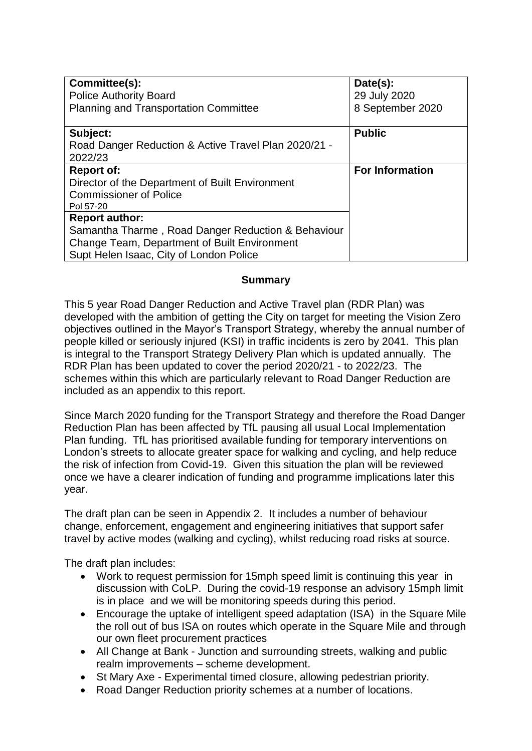| Committee(s):<br><b>Police Authority Board</b><br><b>Planning and Transportation Committee</b>                                                                         | Date(s):<br>29 July 2020<br>8 September 2020 |
|------------------------------------------------------------------------------------------------------------------------------------------------------------------------|----------------------------------------------|
| Subject:<br>Road Danger Reduction & Active Travel Plan 2020/21 -<br>2022/23                                                                                            | <b>Public</b>                                |
| <b>Report of:</b><br>Director of the Department of Built Environment<br><b>Commissioner of Police</b><br>Pol 57-20                                                     | <b>For Information</b>                       |
| <b>Report author:</b><br>Samantha Tharme, Road Danger Reduction & Behaviour<br>Change Team, Department of Built Environment<br>Supt Helen Isaac, City of London Police |                                              |

### **Summary**

This 5 year Road Danger Reduction and Active Travel plan (RDR Plan) was developed with the ambition of getting the City on target for meeting the Vision Zero objectives outlined in the Mayor's Transport Strategy, whereby the annual number of people killed or seriously injured (KSI) in traffic incidents is zero by 2041. This plan is integral to the Transport Strategy Delivery Plan which is updated annually. The RDR Plan has been updated to cover the period 2020/21 - to 2022/23. The schemes within this which are particularly relevant to Road Danger Reduction are included as an appendix to this report.

Since March 2020 funding for the Transport Strategy and therefore the Road Danger Reduction Plan has been affected by TfL pausing all usual Local Implementation Plan funding. TfL has prioritised available funding for temporary interventions on London's streets to allocate greater space for walking and cycling, and help reduce the risk of infection from Covid-19. Given this situation the plan will be reviewed once we have a clearer indication of funding and programme implications later this year.

The draft plan can be seen in Appendix 2. It includes a number of behaviour change, enforcement, engagement and engineering initiatives that support safer travel by active modes (walking and cycling), whilst reducing road risks at source.

The draft plan includes:

- Work to request permission for 15mph speed limit is continuing this year in discussion with CoLP. During the covid-19 response an advisory 15mph limit is in place and we will be monitoring speeds during this period.
- Encourage the uptake of intelligent speed adaptation (ISA) in the Square Mile the roll out of bus ISA on routes which operate in the Square Mile and through our own fleet procurement practices
- All Change at Bank Junction and surrounding streets, walking and public realm improvements – scheme development.
- St Mary Axe Experimental timed closure, allowing pedestrian priority.
- Road Danger Reduction priority schemes at a number of locations.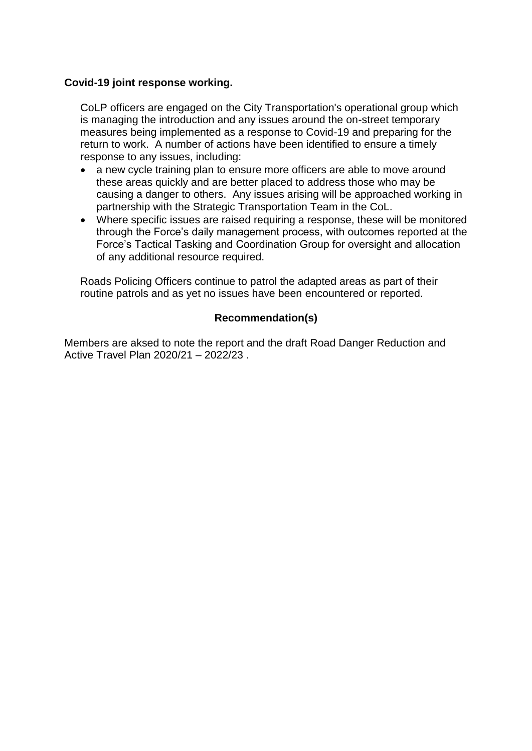### **Covid-19 joint response working.**

CoLP officers are engaged on the City Transportation's operational group which is managing the introduction and any issues around the on-street temporary measures being implemented as a response to Covid-19 and preparing for the return to work. A number of actions have been identified to ensure a timely response to any issues, including:

- a new cycle training plan to ensure more officers are able to move around these areas quickly and are better placed to address those who may be causing a danger to others. Any issues arising will be approached working in partnership with the Strategic Transportation Team in the CoL.
- Where specific issues are raised requiring a response, these will be monitored through the Force's daily management process, with outcomes reported at the Force's Tactical Tasking and Coordination Group for oversight and allocation of any additional resource required.

Roads Policing Officers continue to patrol the adapted areas as part of their routine patrols and as yet no issues have been encountered or reported.

### **Recommendation(s)**

Members are aksed to note the report and the draft Road Danger Reduction and Active Travel Plan 2020/21 – 2022/23 .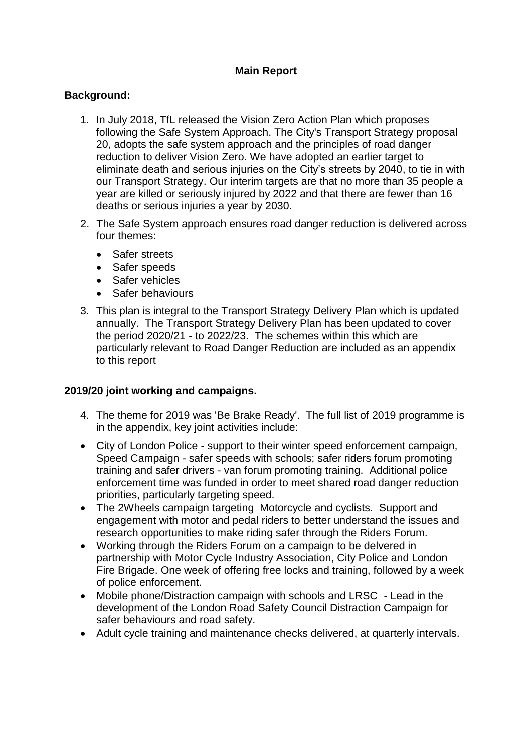# **Main Report**

### **Background:**

- 1. In July 2018, TfL released the Vision Zero Action Plan which proposes following the Safe System Approach. The City's Transport Strategy proposal 20, adopts the safe system approach and the principles of road danger reduction to deliver Vision Zero. We have adopted an earlier target to eliminate death and serious injuries on the City's streets by 2040, to tie in with our Transport Strategy. Our interim targets are that no more than 35 people a year are killed or seriously injured by 2022 and that there are fewer than 16 deaths or serious injuries a year by 2030.
- 2. The Safe System approach ensures road danger reduction is delivered across four themes:
	- Safer streets
	- Safer speeds
	- Safer vehicles
	- Safer behaviours
- 3. This plan is integral to the Transport Strategy Delivery Plan which is updated annually. The Transport Strategy Delivery Plan has been updated to cover the period 2020/21 - to 2022/23. The schemes within this which are particularly relevant to Road Danger Reduction are included as an appendix to this report

#### **2019/20 joint working and campaigns.**

- 4. The theme for 2019 was 'Be Brake Ready'. The full list of 2019 programme is in the appendix, key joint activities include:
- City of London Police support to their winter speed enforcement campaign, Speed Campaign - safer speeds with schools; safer riders forum promoting training and safer drivers - van forum promoting training. Additional police enforcement time was funded in order to meet shared road danger reduction priorities, particularly targeting speed.
- The 2Wheels campaign targeting Motorcycle and cyclists. Support and engagement with motor and pedal riders to better understand the issues and research opportunities to make riding safer through the Riders Forum.
- Working through the Riders Forum on a campaign to be delvered in partnership with Motor Cycle Industry Association, City Police and London Fire Brigade. One week of offering free locks and training, followed by a week of police enforcement.
- Mobile phone/Distraction campaign with schools and LRSC Lead in the development of the London Road Safety Council Distraction Campaign for safer behaviours and road safety.
- Adult cycle training and maintenance checks delivered, at quarterly intervals.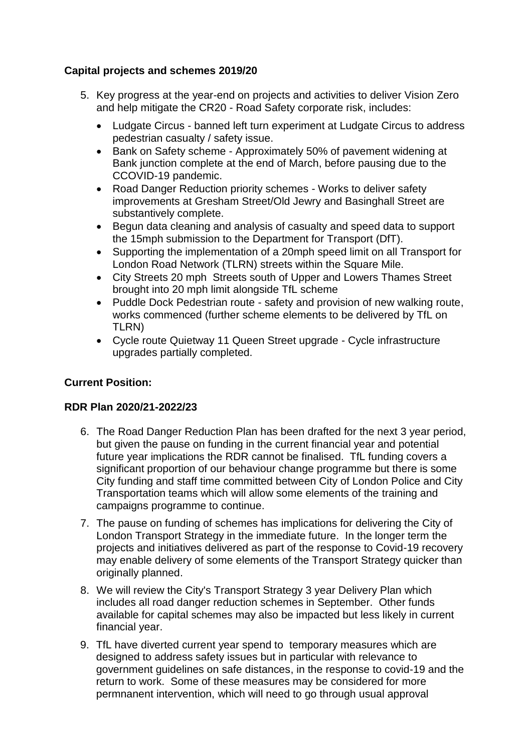## **Capital projects and schemes 2019/20**

- 5. Key progress at the year-end on projects and activities to deliver Vision Zero and help mitigate the CR20 - Road Safety corporate risk, includes:
	- Ludgate Circus banned left turn experiment at Ludgate Circus to address pedestrian casualty / safety issue.
	- Bank on Safety scheme Approximately 50% of pavement widening at Bank junction complete at the end of March, before pausing due to the CCOVID-19 pandemic.
	- Road Danger Reduction priority schemes Works to deliver safety improvements at Gresham Street/Old Jewry and Basinghall Street are substantively complete.
	- Begun data cleaning and analysis of casualty and speed data to support the 15mph submission to the Department for Transport (DfT).
	- Supporting the implementation of a 20mph speed limit on all Transport for London Road Network (TLRN) streets within the Square Mile.
	- City Streets 20 mph Streets south of Upper and Lowers Thames Street brought into 20 mph limit alongside TfL scheme
	- Puddle Dock Pedestrian route safety and provision of new walking route, works commenced (further scheme elements to be delivered by TfL on TLRN)
	- Cycle route Quietway 11 Queen Street upgrade Cycle infrastructure upgrades partially completed.

## **Current Position:**

#### **RDR Plan 2020/21-2022/23**

- 6. The Road Danger Reduction Plan has been drafted for the next 3 year period, but given the pause on funding in the current financial year and potential future year implications the RDR cannot be finalised. TfL funding covers a significant proportion of our behaviour change programme but there is some City funding and staff time committed between City of London Police and City Transportation teams which will allow some elements of the training and campaigns programme to continue.
- 7. The pause on funding of schemes has implications for delivering the City of London Transport Strategy in the immediate future. In the longer term the projects and initiatives delivered as part of the response to Covid-19 recovery may enable delivery of some elements of the Transport Strategy quicker than originally planned.
- 8. We will review the City's Transport Strategy 3 year Delivery Plan which includes all road danger reduction schemes in September. Other funds available for capital schemes may also be impacted but less likely in current financial year.
- 9. TfL have diverted current year spend to temporary measures which are designed to address safety issues but in particular with relevance to government guidelines on safe distances, in the response to covid-19 and the return to work. Some of these measures may be considered for more permnanent intervention, which will need to go through usual approval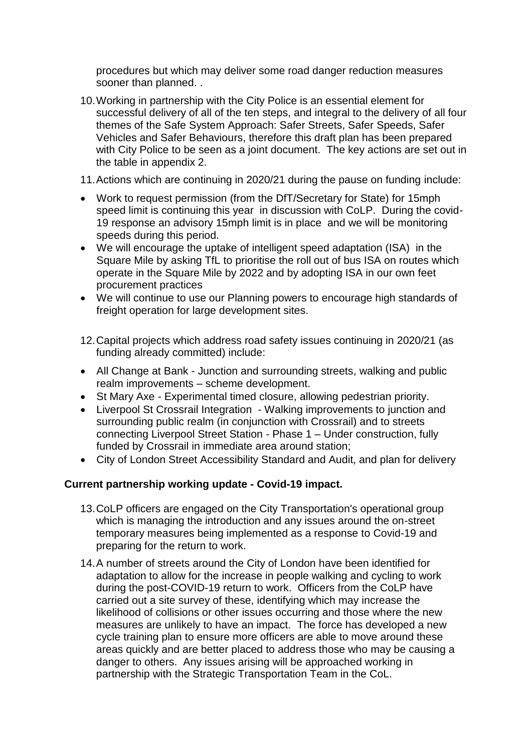procedures but which may deliver some road danger reduction measures sooner than planned. .

- 10.Working in partnership with the City Police is an essential element for successful delivery of all of the ten steps, and integral to the delivery of all four themes of the Safe System Approach: Safer Streets, Safer Speeds, Safer Vehicles and Safer Behaviours, therefore this draft plan has been prepared with City Police to be seen as a joint document. The key actions are set out in the table in appendix 2.
- 11.Actions which are continuing in 2020/21 during the pause on funding include:
- Work to request permission (from the DfT/Secretary for State) for 15mph speed limit is continuing this year in discussion with CoLP. During the covid-19 response an advisory 15mph limit is in place and we will be monitoring speeds during this period.
- We will encourage the uptake of intelligent speed adaptation (ISA) in the Square Mile by asking TfL to prioritise the roll out of bus ISA on routes which operate in the Square Mile by 2022 and by adopting ISA in our own feet procurement practices
- We will continue to use our Planning powers to encourage high standards of freight operation for large development sites.
- 12.Capital projects which address road safety issues continuing in 2020/21 (as funding already committed) include:
- All Change at Bank Junction and surrounding streets, walking and public realm improvements – scheme development.
- St Mary Axe Experimental timed closure, allowing pedestrian priority.
- Liverpool St Crossrail Integration Walking improvements to junction and surrounding public realm (in conjunction with Crossrail) and to streets connecting Liverpool Street Station - Phase 1 – Under construction, fully funded by Crossrail in immediate area around station;
- City of London Street Accessibility Standard and Audit, and plan for delivery

## **Current partnership working update - Covid-19 impact.**

- 13.CoLP officers are engaged on the City Transportation's operational group which is managing the introduction and any issues around the on-street temporary measures being implemented as a response to Covid-19 and preparing for the return to work.
- 14.A number of streets around the City of London have been identified for adaptation to allow for the increase in people walking and cycling to work during the post-COVID-19 return to work. Officers from the CoLP have carried out a site survey of these, identifying which may increase the likelihood of collisions or other issues occurring and those where the new measures are unlikely to have an impact. The force has developed a new cycle training plan to ensure more officers are able to move around these areas quickly and are better placed to address those who may be causing a danger to others. Any issues arising will be approached working in partnership with the Strategic Transportation Team in the CoL.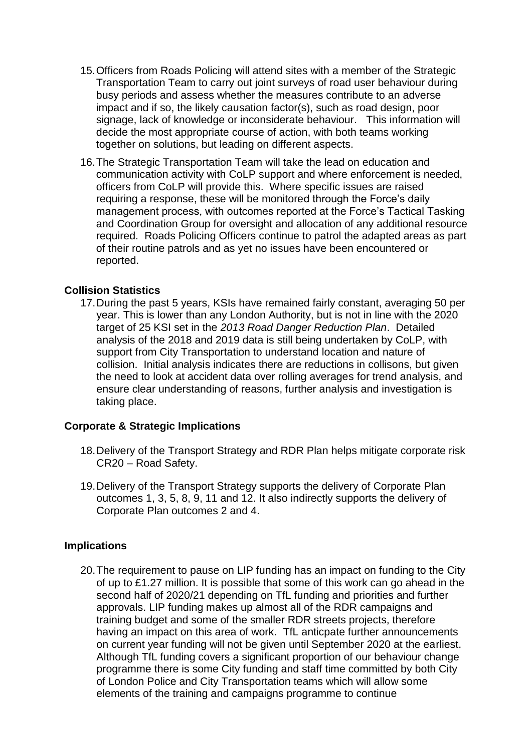- 15.Officers from Roads Policing will attend sites with a member of the Strategic Transportation Team to carry out joint surveys of road user behaviour during busy periods and assess whether the measures contribute to an adverse impact and if so, the likely causation factor(s), such as road design, poor signage, lack of knowledge or inconsiderate behaviour. This information will decide the most appropriate course of action, with both teams working together on solutions, but leading on different aspects.
- 16.The Strategic Transportation Team will take the lead on education and communication activity with CoLP support and where enforcement is needed, officers from CoLP will provide this. Where specific issues are raised requiring a response, these will be monitored through the Force's daily management process, with outcomes reported at the Force's Tactical Tasking and Coordination Group for oversight and allocation of any additional resource required. Roads Policing Officers continue to patrol the adapted areas as part of their routine patrols and as yet no issues have been encountered or reported.

#### **Collision Statistics**

17.During the past 5 years, KSIs have remained fairly constant, averaging 50 per year. This is lower than any London Authority, but is not in line with the 2020 target of 25 KSI set in the *2013 Road Danger Reduction Plan*. Detailed analysis of the 2018 and 2019 data is still being undertaken by CoLP, with support from City Transportation to understand location and nature of collision. Initial analysis indicates there are reductions in collisons, but given the need to look at accident data over rolling averages for trend analysis, and ensure clear understanding of reasons, further analysis and investigation is taking place.

#### **Corporate & Strategic Implications**

- 18.Delivery of the Transport Strategy and RDR Plan helps mitigate corporate risk CR20 – Road Safety.
- 19.Delivery of the Transport Strategy supports the delivery of Corporate Plan outcomes 1, 3, 5, 8, 9, 11 and 12. It also indirectly supports the delivery of Corporate Plan outcomes 2 and 4.

#### **Implications**

20.The requirement to pause on LIP funding has an impact on funding to the City of up to £1.27 million. It is possible that some of this work can go ahead in the second half of 2020/21 depending on TfL funding and priorities and further approvals. LIP funding makes up almost all of the RDR campaigns and training budget and some of the smaller RDR streets projects, therefore having an impact on this area of work. TfL anticpate further announcements on current year funding will not be given until September 2020 at the earliest. Although TfL funding covers a significant proportion of our behaviour change programme there is some City funding and staff time committed by both City of London Police and City Transportation teams which will allow some elements of the training and campaigns programme to continue